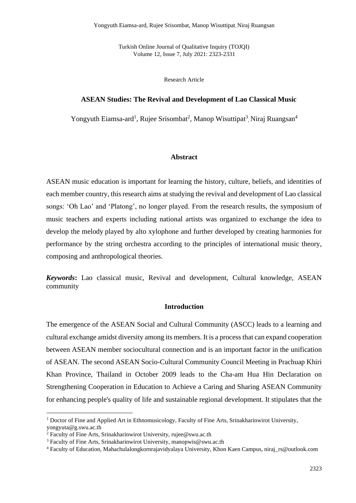Turkish Online Journal of Qualitative Inquiry (TOJQI) Volume 12, Issue 7, July 2021: 2323-2331

Research Article

# **ASEAN Studies: The Revival and Development of Lao Classical Music**

Yongyuth Eiamsa-ard<sup>1</sup>, Rujee Srisombat<sup>2</sup>, Manop Wisuttipat<sup>3</sup>, Niraj Ruangsan<sup>4</sup>

# **Abstract**

ASEAN music education is important for learning the history, culture, beliefs, and identities of each member country, this research aims at studying the revival and development of Lao classical songs: 'Oh Lao' and 'Platong', no longer played. From the research results, the symposium of music teachers and experts including national artists was organized to exchange the idea to develop the melody played by alto xylophone and further developed by creating harmonies for performance by the string orchestra according to the principles of international music theory, composing and anthropological theories.

*Keywords***:** Lao classical music, Revival and development, Cultural knowledge, ASEAN community

### **Introduction**

The emergence of the ASEAN Social and Cultural Community (ASCC) leads to a learning and cultural exchange amidst diversity among its members. It is a process that can expand cooperation between ASEAN member sociocultural connection and is an important factor in the unification of ASEAN. The second ASEAN Socio-Cultural Community Council Meeting in Prachuap Khiri Khan Province, Thailand in October 2009 leads to the Cha-am Hua Hin Declaration on Strengthening Cooperation in Education to Achieve a Caring and Sharing ASEAN Community for enhancing people's quality of life and sustainable regional development. It stipulates that the

<sup>&</sup>lt;sup>1</sup> Doctor of Fine and Applied Art in Ethnomusicology, Faculty of Fine Arts, Srinakharinwirot University, yongyuta@g.swu.ac.th

<sup>2</sup> Faculty of Fine Arts, Srinakharinwirot University, rujee@swu.ac.th

<sup>3</sup> Faculty of Fine Arts, Srinakharinwirot University, manopwis@swu.ac.th

<sup>4</sup> Faculty of Education, Mahachulalongkornrajavidyalaya University, Khon Kaen Campus, niraj\_rs@outlook.com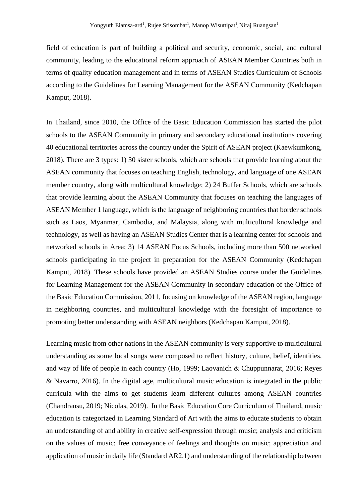field of education is part of building a political and security, economic, social, and cultural community, leading to the educational reform approach of ASEAN Member Countries both in terms of quality education management and in terms of ASEAN Studies Curriculum of Schools according to the Guidelines for Learning Management for the ASEAN Community (Kedchapan Kamput, 2018).

In Thailand, since 2010, the Office of the Basic Education Commission has started the pilot schools to the ASEAN Community in primary and secondary educational institutions covering 40 educational territories across the country under the Spirit of ASEAN project (Kaewkumkong, 2018). There are 3 types: 1) 30 sister schools, which are schools that provide learning about the ASEAN community that focuses on teaching English, technology, and language of one ASEAN member country, along with multicultural knowledge; 2) 24 Buffer Schools, which are schools that provide learning about the ASEAN Community that focuses on teaching the languages of ASEAN Member 1 language, which is the language of neighboring countries that border schools such as Laos, Myanmar, Cambodia, and Malaysia, along with multicultural knowledge and technology, as well as having an ASEAN Studies Center that is a learning center for schools and networked schools in Area; 3) 14 ASEAN Focus Schools, including more than 500 networked schools participating in the project in preparation for the ASEAN Community (Kedchapan Kamput, 2018). These schools have provided an ASEAN Studies course under the Guidelines for Learning Management for the ASEAN Community in secondary education of the Office of the Basic Education Commission, 2011, focusing on knowledge of the ASEAN region, language in neighboring countries, and multicultural knowledge with the foresight of importance to promoting better understanding with ASEAN neighbors (Kedchapan Kamput, 2018).

Learning music from other nations in the ASEAN community is very supportive to multicultural understanding as some local songs were composed to reflect history, culture, belief, identities, and way of life of people in each country (Ho, 1999; Laovanich & Chuppunnarat, 2016; Reyes & Navarro, 2016). In the digital age, multicultural music education is integrated in the public curricula with the aims to get students learn different cultures among ASEAN countries (Chandransu, 2019; Nicolas, 2019). In the Basic Education Core Curriculum of Thailand, music education is categorized in Learning Standard of Art with the aims to educate students to obtain an understanding of and ability in creative self-expression through music; analysis and criticism on the values of music; free conveyance of feelings and thoughts on music; appreciation and application of music in daily life (Standard AR2.1) and understanding of the relationship between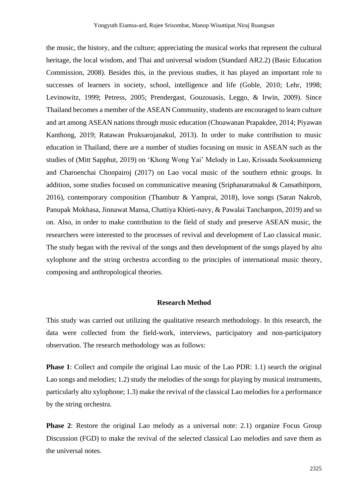the music, the history, and the culture; appreciating the musical works that represent the cultural heritage, the local wisdom, and Thai and universal wisdom (Standard AR2.2) (Basic Education Commission, 2008). Besides this, in the previous studies, it has played an important role to successes of learners in society, school, intelligence and life (Goble, 2010; Lehr, 1998; Levinowitz, 1999; Petress, 2005; Prendergast, Gouzouasis, Leggo, & Irwin, 2009). Since Thailand becomes a member of the ASEAN Community, students are encouraged to learn culture and art among ASEAN nations through music education (Choawanan Prapakdee, 2014; Piyawan Kanthong, 2019; Ratawan Pruksarojanakul, 2013). In order to make contribution to music education in Thailand, there are a number of studies focusing on music in ASEAN such as the studies of (Mitt Sapphut, 2019) on 'Khong Wong Yai' Melody in Lao, Krissada Sooksumnieng and Charoenchai Chonpairoj (2017) on Lao vocal music of the southern ethnic groups. In addition, some studies focused on communicative meaning (Sriphanaratnakul & Cansathitporn, 2016), contemporary composition (Thambutr & Yamprai, 2018), love songs (Saran Nakrob, Panupak Mokhasa, Jinnawat Mansa, Chattiya Khieti-navy, & Pawalai Tanchanpon, 2019) and so on. Also, in order to make contribution to the field of study and preserve ASEAN music, the researchers were interested to the processes of revival and development of Lao classical music. The study began with the revival of the songs and then development of the songs played by alto xylophone and the string orchestra according to the principles of international music theory, composing and anthropological theories.

# **Research Method**

This study was carried out utilizing the qualitative research methodology. In this research, the data were collected from the field-work, interviews, participatory and non-participatory observation. The research methodology was as follows:

**Phase 1**: Collect and compile the original Lao music of the Lao PDR: 1.1) search the original Lao songs and melodies; 1.2) study the melodies of the songs for playing by musical instruments, particularly alto xylophone; 1.3) make the revival of the classical Lao melodies for a performance by the string orchestra.

**Phase 2**: Restore the original Lao melody as a universal note: 2.1) organize Focus Group Discussion (FGD) to make the revival of the selected classical Lao melodies and save them as the universal notes.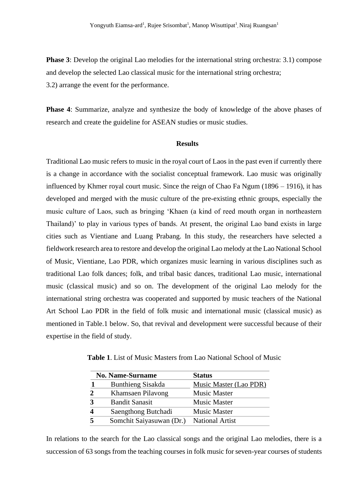**Phase 3**: Develop the original Lao melodies for the international string orchestra: 3.1) compose and develop the selected Lao classical music for the international string orchestra; 3.2) arrange the event for the performance.

**Phase 4**: Summarize, analyze and synthesize the body of knowledge of the above phases of research and create the guideline for ASEAN studies or music studies.

## **Results**

Traditional Lao music refers to music in the royal court of Laos in the past even if currently there is a change in accordance with the socialist conceptual framework. Lao music was originally influenced by Khmer royal court music. Since the reign of Chao Fa Ngum (1896 – 1916), it has developed and merged with the music culture of the pre-existing ethnic groups, especially the music culture of Laos, such as bringing 'Khaen (a kind of reed mouth organ in northeastern Thailand)' to play in various types of bands. At present, the original Lao band exists in large cities such as Vientiane and Luang Prabang. In this study, the researchers have selected a fieldwork research area to restore and develop the original Lao melody at the Lao National School of Music, Vientiane, Lao PDR, which organizes music learning in various disciplines such as traditional Lao folk dances; folk, and tribal basic dances, traditional Lao music, international music (classical music) and so on. The development of the original Lao melody for the international string orchestra was cooperated and supported by music teachers of the National Art School Lao PDR in the field of folk music and international music (classical music) as mentioned in Table.1 below. So, that revival and development were successful because of their expertise in the field of study.

|   | <b>No. Name-Surname</b>  | <b>Status</b>          |  |
|---|--------------------------|------------------------|--|
|   | <b>Bunthieng Sisakda</b> | Music Master (Lao PDR) |  |
|   | Khamsaen Pilavong        | <b>Music Master</b>    |  |
| 3 | <b>Bandit Sanasit</b>    | <b>Music Master</b>    |  |
| Δ | Saengthong Butchadi      | <b>Music Master</b>    |  |
|   | Somchit Saiyasuwan (Dr.) | <b>National Artist</b> |  |

**Table 1**. List of Music Masters from Lao National School of Music

In relations to the search for the Lao classical songs and the original Lao melodies, there is a succession of 63 songs from the teaching courses in folk music for seven-year courses of students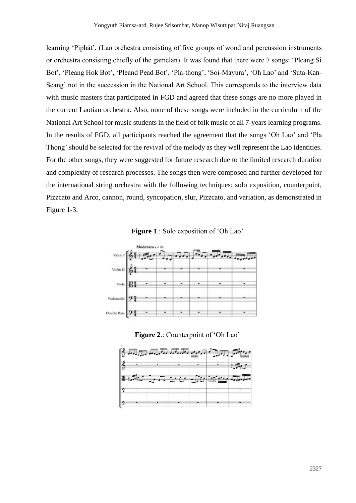learning 'Pīphāt', (Lao orchestra consisting of five groups of wood and percussion instruments or orchestra consisting chiefly of the gamelan). It was found that there were 7 songs: 'Pleang Si Bot', 'Pleang Hok Bot', 'Pleand Pead Bot', 'Pla-thong', 'Soi-Mayura', 'Oh Lao' and 'Suta-Kan-Seang' not in the succession in the National Art School. This corresponds to the interview data with music masters that participated in FGD and agreed that these songs are no more played in the current Laotian orchestra. Also, none of these songs were included in the curriculum of the National Art School for music students in the field of folk music of all 7-years learning programs. In the results of FGD, all participants reached the agreement that the songs 'Oh Lao' and 'Pla Thong' should be selected for the revival of the melody as they well represent the Lao identities. For the other songs, they were suggested for future research due to the limited research duration and complexity of research processes. The songs then were composed and further developed for the international string orchestra with the following techniques: solo exposition, counterpoint, Pizzcato and Arco, cannon, round, syncopation, slur, Pizzcato, and variation, as demonstrated in Figure 1-3.

**Figure 1**.: Solo exposition of 'Oh Lao'



**Figure 2**.: Counterpoint of 'Oh Lao'

|        |               |  | <b>[6 July July July 2007</b> |                                                                 |
|--------|---------------|--|-------------------------------|-----------------------------------------------------------------|
|        | $\frac{2}{3}$ |  |                               | $\mathcal{L} = \mathcal{L} \mathcal{L} \mathcal{L} \mathcal{L}$ |
|        |               |  | But to the finite was         |                                                                 |
| $ 9 -$ |               |  |                               |                                                                 |
|        |               |  |                               |                                                                 |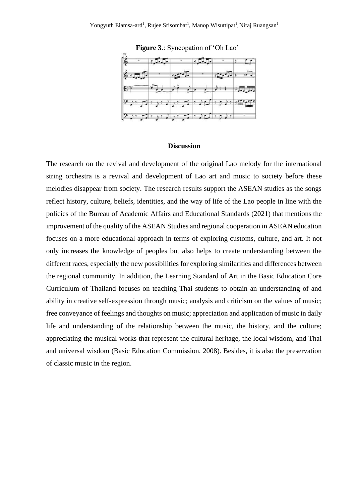

**Figure 3**.: Syncopation of 'Oh Lao'

### **Discussion**

The research on the revival and development of the original Lao melody for the international string orchestra is a revival and development of Lao art and music to society before these melodies disappear from society. The research results support the ASEAN studies as the songs reflect history, culture, beliefs, identities, and the way of life of the Lao people in line with the policies of the Bureau of Academic Affairs and Educational Standards (2021) that mentions the improvement of the quality of the ASEAN Studies and regional cooperation in ASEAN education focuses on a more educational approach in terms of exploring customs, culture, and art. It not only increases the knowledge of peoples but also helps to create understanding between the different races, especially the new possibilities for exploring similarities and differences between the regional community. In addition, the Learning Standard of Art in the Basic Education Core Curriculum of Thailand focuses on teaching Thai students to obtain an understanding of and ability in creative self-expression through music; analysis and criticism on the values of music; free conveyance of feelings and thoughts on music; appreciation and application of music in daily life and understanding of the relationship between the music, the history, and the culture; appreciating the musical works that represent the cultural heritage, the local wisdom, and Thai and universal wisdom (Basic Education Commission, 2008). Besides, it is also the preservation of classic music in the region.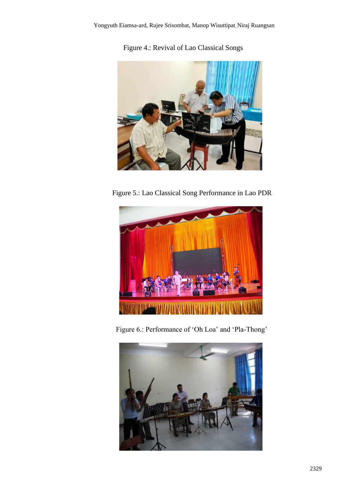Figure 4.: Revival of Lao Classical Songs



Figure 5.: Lao Classical Song Performance in Lao PDR



Figure 6.: Performance of 'Oh Loa' and 'Pla-Thong'

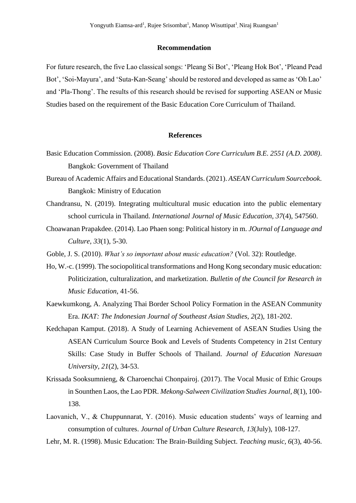### **Recommendation**

For future research, the five Lao classical songs: 'Pleang Si Bot', 'Pleang Hok Bot', 'Pleand Pead Bot', 'Soi-Mayura', and 'Suta-Kan-Seang' should be restored and developed as same as 'Oh Lao' and 'Pla-Thong'. The results of this research should be revised for supporting ASEAN or Music Studies based on the requirement of the Basic Education Core Curriculum of Thailand.

### **References**

- Basic Education Commission. (2008). *Basic Education Core Curriculum B.E. 2551 (A.D. 2008)*. Bangkok: Government of Thailand
- Bureau of Academic Affairs and Educational Standards. (2021). *ASEAN Curriculum Sourcebook*. Bangkok: Ministry of Education
- Chandransu, N. (2019). Integrating multicultural music education into the public elementary school curricula in Thailand. *International Journal of Music Education, 37*(4), 547560.
- Choawanan Prapakdee. (2014). Lao Phaen song: Political history in m. *JOurnal of Language and Culture, 33*(1), 5-30.
- Goble, J. S. (2010). *What's so important about music education?* (Vol. 32): Routledge.
- Ho, W.-c. (1999). The sociopolitical transformations and Hong Kong secondary music education: Politicization, culturalization, and marketization. *Bulletin of the Council for Research in Music Education*, 41-56.
- Kaewkumkong, A. Analyzing Thai Border School Policy Formation in the ASEAN Community Era. *IKAT: The Indonesian Journal of Southeast Asian Studies, 2*(2), 181-202.
- Kedchapan Kamput. (2018). A Study of Learning Achievement of ASEAN Studies Using the ASEAN Curriculum Source Book and Levels of Students Competency in 21st Century Skills: Case Study in Buffer Schools of Thailand. *Journal of Education Naresuan University, 21*(2), 34-53.
- Krissada Sooksumnieng, & Charoenchai Chonpairoj. (2017). The Vocal Music of Ethic Groups in Sounthen Laos, the Lao PDR. *Mekong-Salween Civilization Studies Journal, 8*(1), 100- 138.
- Laovanich, V., & Chuppunnarat, Y. (2016). Music education students' ways of learning and consumption of cultures. *Journal of Urban Culture Research, 13*(July), 108-127.
- Lehr, M. R. (1998). Music Education: The Brain-Building Subject. *Teaching music, 6*(3), 40-56.